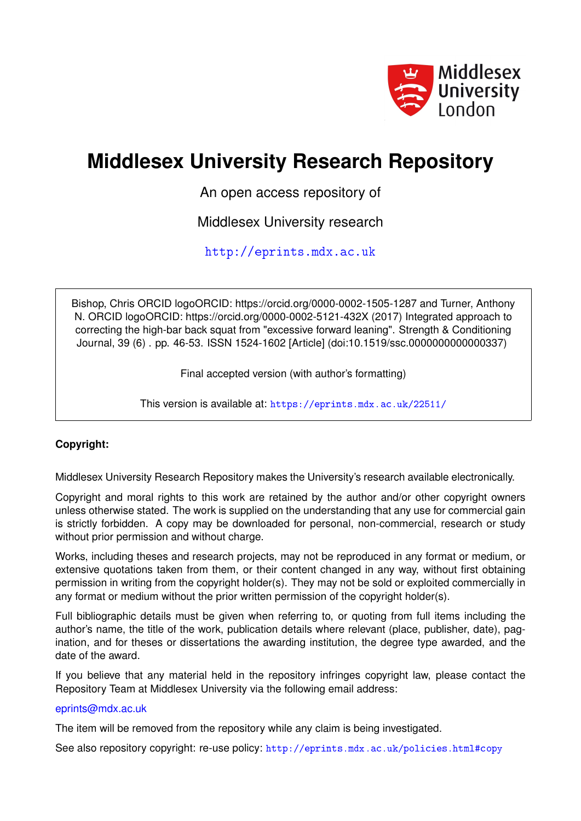

# **Middlesex University Research Repository**

An open access repository of

Middlesex University research

<http://eprints.mdx.ac.uk>

Bishop, Chris ORCID logoORCID: https://orcid.org/0000-0002-1505-1287 and Turner, Anthony N. ORCID logoORCID: https://orcid.org/0000-0002-5121-432X (2017) Integrated approach to correcting the high-bar back squat from "excessive forward leaning". Strength & Conditioning Journal, 39 (6) . pp. 46-53. ISSN 1524-1602 [Article] (doi:10.1519/ssc.0000000000000337)

Final accepted version (with author's formatting)

This version is available at: <https://eprints.mdx.ac.uk/22511/>

# **Copyright:**

Middlesex University Research Repository makes the University's research available electronically.

Copyright and moral rights to this work are retained by the author and/or other copyright owners unless otherwise stated. The work is supplied on the understanding that any use for commercial gain is strictly forbidden. A copy may be downloaded for personal, non-commercial, research or study without prior permission and without charge.

Works, including theses and research projects, may not be reproduced in any format or medium, or extensive quotations taken from them, or their content changed in any way, without first obtaining permission in writing from the copyright holder(s). They may not be sold or exploited commercially in any format or medium without the prior written permission of the copyright holder(s).

Full bibliographic details must be given when referring to, or quoting from full items including the author's name, the title of the work, publication details where relevant (place, publisher, date), pagination, and for theses or dissertations the awarding institution, the degree type awarded, and the date of the award.

If you believe that any material held in the repository infringes copyright law, please contact the Repository Team at Middlesex University via the following email address:

## [eprints@mdx.ac.uk](mailto:eprints@mdx.ac.uk)

The item will be removed from the repository while any claim is being investigated.

See also repository copyright: re-use policy: <http://eprints.mdx.ac.uk/policies.html#copy>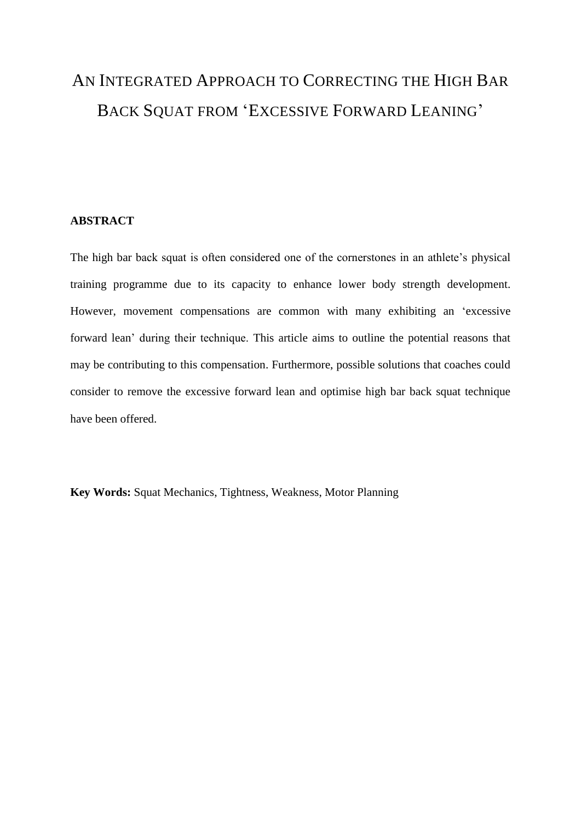# AN INTEGRATED APPROACH TO CORRECTING THE HIGH BAR BACK SQUAT FROM 'EXCESSIVE FORWARD LEANING'

# **ABSTRACT**

The high bar back squat is often considered one of the cornerstones in an athlete's physical training programme due to its capacity to enhance lower body strength development. However, movement compensations are common with many exhibiting an 'excessive forward lean' during their technique. This article aims to outline the potential reasons that may be contributing to this compensation. Furthermore, possible solutions that coaches could consider to remove the excessive forward lean and optimise high bar back squat technique have been offered.

**Key Words:** Squat Mechanics, Tightness, Weakness, Motor Planning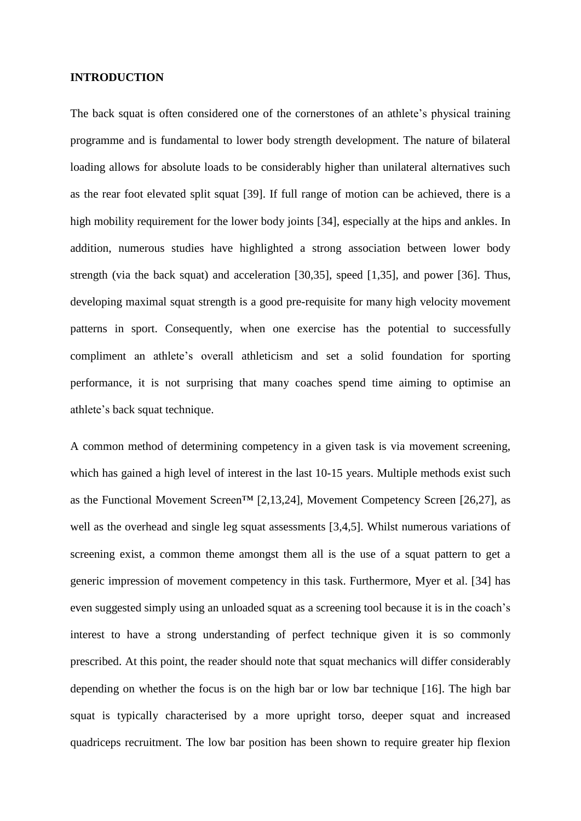### **INTRODUCTION**

The back squat is often considered one of the cornerstones of an athlete's physical training programme and is fundamental to lower body strength development. The nature of bilateral loading allows for absolute loads to be considerably higher than unilateral alternatives such as the rear foot elevated split squat [39]. If full range of motion can be achieved, there is a high mobility requirement for the lower body joints [34], especially at the hips and ankles. In addition, numerous studies have highlighted a strong association between lower body strength (via the back squat) and acceleration [30,35], speed [1,35], and power [36]. Thus, developing maximal squat strength is a good pre-requisite for many high velocity movement patterns in sport. Consequently, when one exercise has the potential to successfully compliment an athlete's overall athleticism and set a solid foundation for sporting performance, it is not surprising that many coaches spend time aiming to optimise an athlete's back squat technique.

A common method of determining competency in a given task is via movement screening, which has gained a high level of interest in the last 10-15 years. Multiple methods exist such as the Functional Movement Screen<sup>TM</sup> [2,13,24], Movement Competency Screen [26,27], as well as the overhead and single leg squat assessments [3,4,5]. Whilst numerous variations of screening exist, a common theme amongst them all is the use of a squat pattern to get a generic impression of movement competency in this task. Furthermore, Myer et al. [34] has even suggested simply using an unloaded squat as a screening tool because it is in the coach's interest to have a strong understanding of perfect technique given it is so commonly prescribed. At this point, the reader should note that squat mechanics will differ considerably depending on whether the focus is on the high bar or low bar technique [16]. The high bar squat is typically characterised by a more upright torso, deeper squat and increased quadriceps recruitment. The low bar position has been shown to require greater hip flexion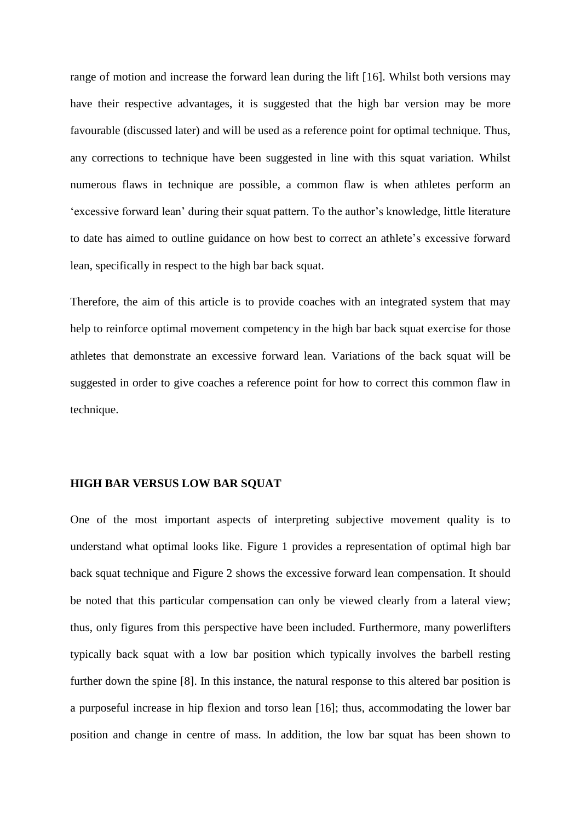range of motion and increase the forward lean during the lift [16]. Whilst both versions may have their respective advantages, it is suggested that the high bar version may be more favourable (discussed later) and will be used as a reference point for optimal technique. Thus, any corrections to technique have been suggested in line with this squat variation. Whilst numerous flaws in technique are possible, a common flaw is when athletes perform an 'excessive forward lean' during their squat pattern. To the author's knowledge, little literature to date has aimed to outline guidance on how best to correct an athlete's excessive forward lean, specifically in respect to the high bar back squat.

Therefore, the aim of this article is to provide coaches with an integrated system that may help to reinforce optimal movement competency in the high bar back squat exercise for those athletes that demonstrate an excessive forward lean. Variations of the back squat will be suggested in order to give coaches a reference point for how to correct this common flaw in technique.

## **HIGH BAR VERSUS LOW BAR SQUAT**

One of the most important aspects of interpreting subjective movement quality is to understand what optimal looks like. Figure 1 provides a representation of optimal high bar back squat technique and Figure 2 shows the excessive forward lean compensation. It should be noted that this particular compensation can only be viewed clearly from a lateral view; thus, only figures from this perspective have been included. Furthermore, many powerlifters typically back squat with a low bar position which typically involves the barbell resting further down the spine [8]. In this instance, the natural response to this altered bar position is a purposeful increase in hip flexion and torso lean [16]; thus, accommodating the lower bar position and change in centre of mass. In addition, the low bar squat has been shown to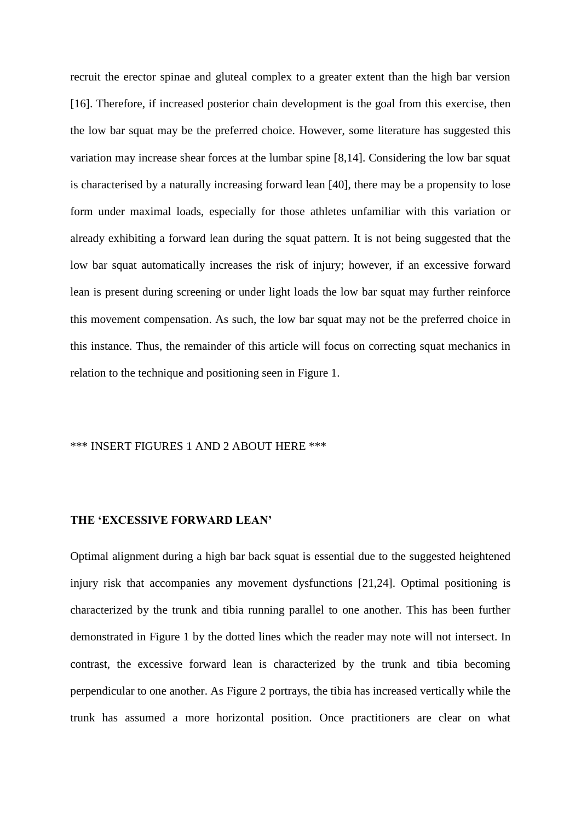recruit the erector spinae and gluteal complex to a greater extent than the high bar version [16]. Therefore, if increased posterior chain development is the goal from this exercise, then the low bar squat may be the preferred choice. However, some literature has suggested this variation may increase shear forces at the lumbar spine [8,14]. Considering the low bar squat is characterised by a naturally increasing forward lean [40], there may be a propensity to lose form under maximal loads, especially for those athletes unfamiliar with this variation or already exhibiting a forward lean during the squat pattern. It is not being suggested that the low bar squat automatically increases the risk of injury; however, if an excessive forward lean is present during screening or under light loads the low bar squat may further reinforce this movement compensation. As such, the low bar squat may not be the preferred choice in this instance. Thus, the remainder of this article will focus on correcting squat mechanics in relation to the technique and positioning seen in Figure 1.

## \*\*\* INSERT FIGURES 1 AND 2 ABOUT HERE \*\*\*

#### **THE 'EXCESSIVE FORWARD LEAN'**

Optimal alignment during a high bar back squat is essential due to the suggested heightened injury risk that accompanies any movement dysfunctions [21,24]. Optimal positioning is characterized by the trunk and tibia running parallel to one another. This has been further demonstrated in Figure 1 by the dotted lines which the reader may note will not intersect. In contrast, the excessive forward lean is characterized by the trunk and tibia becoming perpendicular to one another. As Figure 2 portrays, the tibia has increased vertically while the trunk has assumed a more horizontal position. Once practitioners are clear on what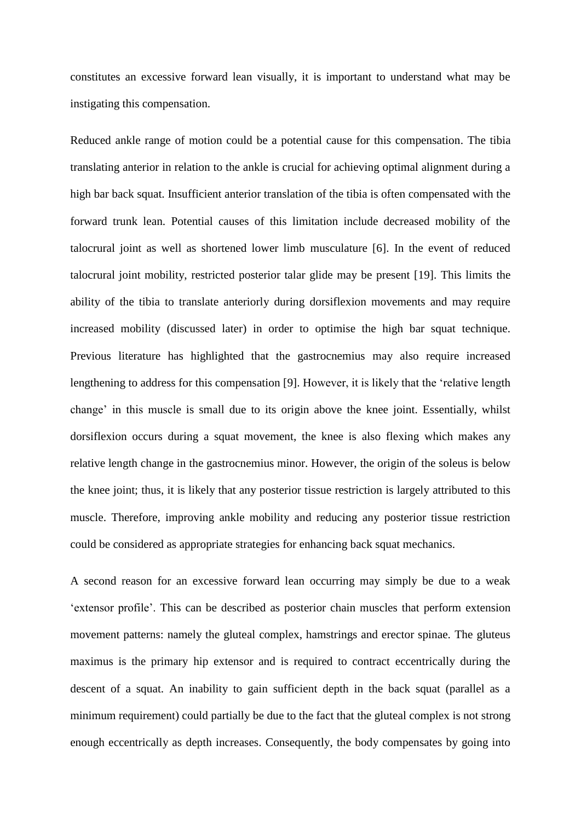constitutes an excessive forward lean visually, it is important to understand what may be instigating this compensation.

Reduced ankle range of motion could be a potential cause for this compensation. The tibia translating anterior in relation to the ankle is crucial for achieving optimal alignment during a high bar back squat. Insufficient anterior translation of the tibia is often compensated with the forward trunk lean. Potential causes of this limitation include decreased mobility of the talocrural joint as well as shortened lower limb musculature [6]. In the event of reduced talocrural joint mobility, restricted posterior talar glide may be present [19]. This limits the ability of the tibia to translate anteriorly during dorsiflexion movements and may require increased mobility (discussed later) in order to optimise the high bar squat technique. Previous literature has highlighted that the gastrocnemius may also require increased lengthening to address for this compensation [9]. However, it is likely that the 'relative length change' in this muscle is small due to its origin above the knee joint. Essentially, whilst dorsiflexion occurs during a squat movement, the knee is also flexing which makes any relative length change in the gastrocnemius minor. However, the origin of the soleus is below the knee joint; thus, it is likely that any posterior tissue restriction is largely attributed to this muscle. Therefore, improving ankle mobility and reducing any posterior tissue restriction could be considered as appropriate strategies for enhancing back squat mechanics.

A second reason for an excessive forward lean occurring may simply be due to a weak 'extensor profile'. This can be described as posterior chain muscles that perform extension movement patterns: namely the gluteal complex, hamstrings and erector spinae. The gluteus maximus is the primary hip extensor and is required to contract eccentrically during the descent of a squat. An inability to gain sufficient depth in the back squat (parallel as a minimum requirement) could partially be due to the fact that the gluteal complex is not strong enough eccentrically as depth increases. Consequently, the body compensates by going into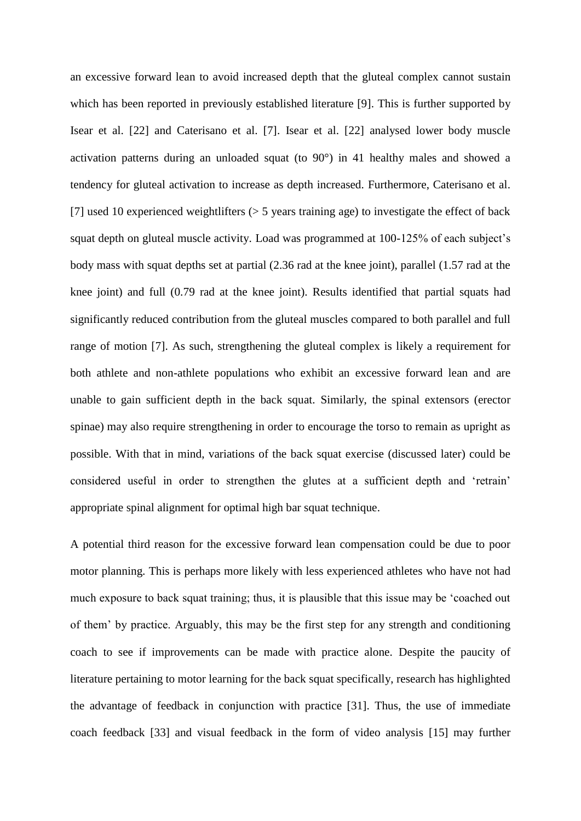an excessive forward lean to avoid increased depth that the gluteal complex cannot sustain which has been reported in previously established literature [9]. This is further supported by Isear et al. [22] and Caterisano et al. [7]. Isear et al. [22] analysed lower body muscle activation patterns during an unloaded squat (to 90°) in 41 healthy males and showed a tendency for gluteal activation to increase as depth increased. Furthermore, Caterisano et al. [7] used 10 experienced weightlifters (> 5 years training age) to investigate the effect of back squat depth on gluteal muscle activity. Load was programmed at 100-125% of each subject's body mass with squat depths set at partial (2.36 rad at the knee joint), parallel (1.57 rad at the knee joint) and full (0.79 rad at the knee joint). Results identified that partial squats had significantly reduced contribution from the gluteal muscles compared to both parallel and full range of motion [7]. As such, strengthening the gluteal complex is likely a requirement for both athlete and non-athlete populations who exhibit an excessive forward lean and are unable to gain sufficient depth in the back squat. Similarly, the spinal extensors (erector spinae) may also require strengthening in order to encourage the torso to remain as upright as possible. With that in mind, variations of the back squat exercise (discussed later) could be considered useful in order to strengthen the glutes at a sufficient depth and 'retrain' appropriate spinal alignment for optimal high bar squat technique.

A potential third reason for the excessive forward lean compensation could be due to poor motor planning. This is perhaps more likely with less experienced athletes who have not had much exposure to back squat training; thus, it is plausible that this issue may be 'coached out of them' by practice. Arguably, this may be the first step for any strength and conditioning coach to see if improvements can be made with practice alone. Despite the paucity of literature pertaining to motor learning for the back squat specifically, research has highlighted the advantage of feedback in conjunction with practice [31]. Thus, the use of immediate coach feedback [33] and visual feedback in the form of video analysis [15] may further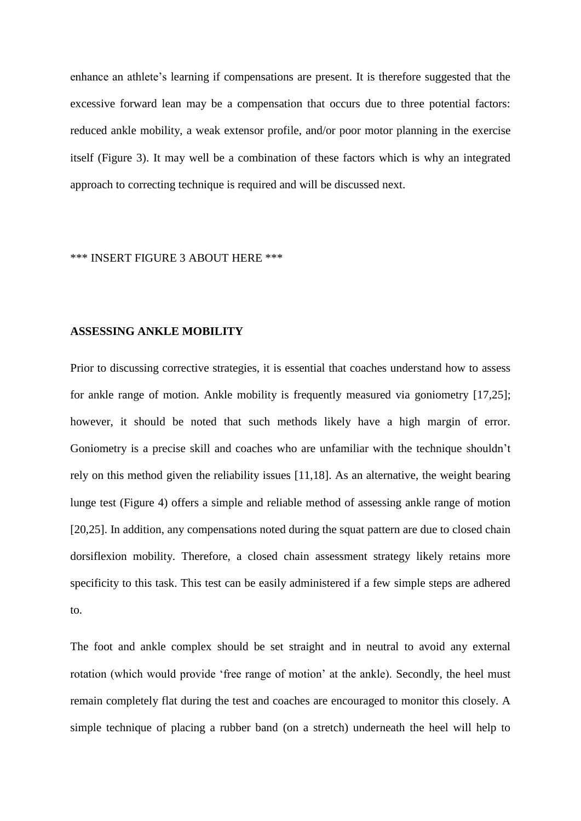enhance an athlete's learning if compensations are present. It is therefore suggested that the excessive forward lean may be a compensation that occurs due to three potential factors: reduced ankle mobility, a weak extensor profile, and/or poor motor planning in the exercise itself (Figure 3). It may well be a combination of these factors which is why an integrated approach to correcting technique is required and will be discussed next.

### \*\*\* INSERT FIGURE 3 ABOUT HERE \*\*\*

#### **ASSESSING ANKLE MOBILITY**

Prior to discussing corrective strategies, it is essential that coaches understand how to assess for ankle range of motion. Ankle mobility is frequently measured via goniometry [17,25]; however, it should be noted that such methods likely have a high margin of error. Goniometry is a precise skill and coaches who are unfamiliar with the technique shouldn't rely on this method given the reliability issues [11,18]. As an alternative, the weight bearing lunge test (Figure 4) offers a simple and reliable method of assessing ankle range of motion [20,25]. In addition, any compensations noted during the squat pattern are due to closed chain dorsiflexion mobility. Therefore, a closed chain assessment strategy likely retains more specificity to this task. This test can be easily administered if a few simple steps are adhered to.

The foot and ankle complex should be set straight and in neutral to avoid any external rotation (which would provide 'free range of motion' at the ankle). Secondly, the heel must remain completely flat during the test and coaches are encouraged to monitor this closely. A simple technique of placing a rubber band (on a stretch) underneath the heel will help to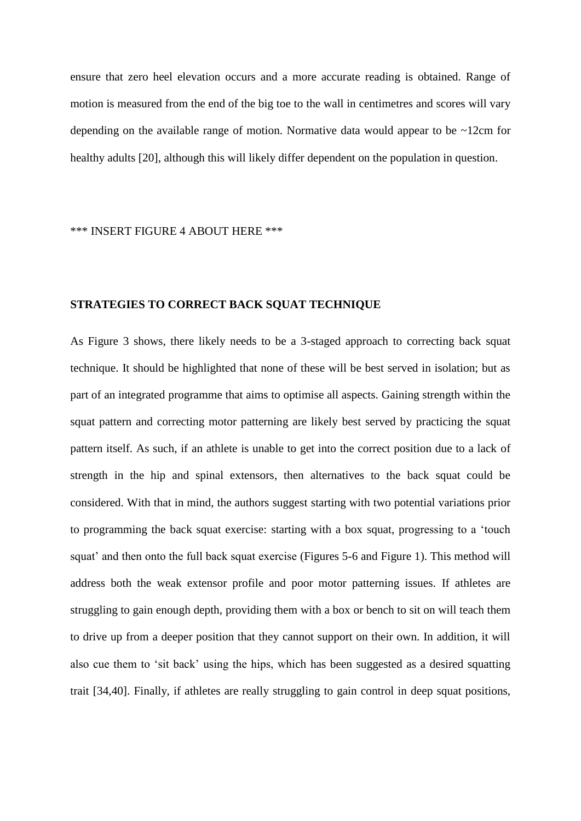ensure that zero heel elevation occurs and a more accurate reading is obtained. Range of motion is measured from the end of the big toe to the wall in centimetres and scores will vary depending on the available range of motion. Normative data would appear to be ~12cm for healthy adults [20], although this will likely differ dependent on the population in question.

\*\*\* INSERT FIGURE 4 ABOUT HERE \*\*\*

# **STRATEGIES TO CORRECT BACK SQUAT TECHNIQUE**

As Figure 3 shows, there likely needs to be a 3-staged approach to correcting back squat technique. It should be highlighted that none of these will be best served in isolation; but as part of an integrated programme that aims to optimise all aspects. Gaining strength within the squat pattern and correcting motor patterning are likely best served by practicing the squat pattern itself. As such, if an athlete is unable to get into the correct position due to a lack of strength in the hip and spinal extensors, then alternatives to the back squat could be considered. With that in mind, the authors suggest starting with two potential variations prior to programming the back squat exercise: starting with a box squat, progressing to a 'touch squat' and then onto the full back squat exercise (Figures 5-6 and Figure 1). This method will address both the weak extensor profile and poor motor patterning issues. If athletes are struggling to gain enough depth, providing them with a box or bench to sit on will teach them to drive up from a deeper position that they cannot support on their own. In addition, it will also cue them to 'sit back' using the hips, which has been suggested as a desired squatting trait [34,40]. Finally, if athletes are really struggling to gain control in deep squat positions,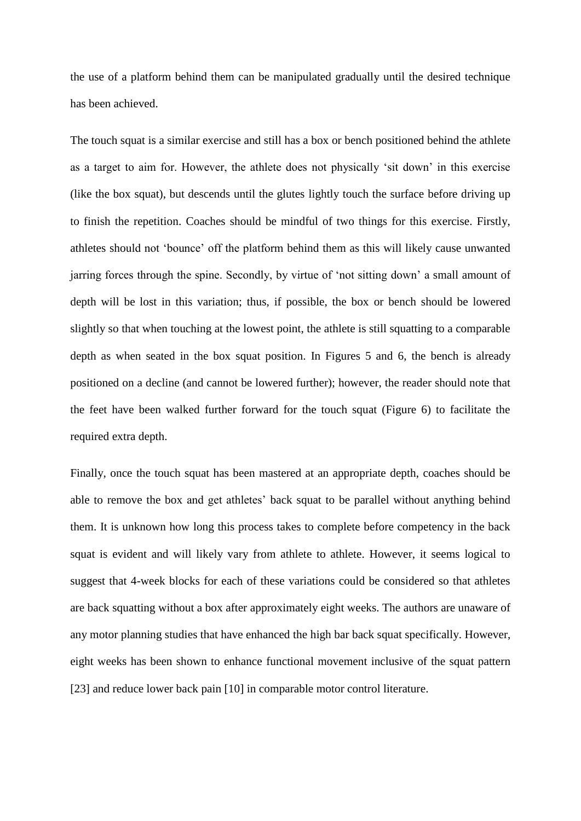the use of a platform behind them can be manipulated gradually until the desired technique has been achieved.

The touch squat is a similar exercise and still has a box or bench positioned behind the athlete as a target to aim for. However, the athlete does not physically 'sit down' in this exercise (like the box squat), but descends until the glutes lightly touch the surface before driving up to finish the repetition. Coaches should be mindful of two things for this exercise. Firstly, athletes should not 'bounce' off the platform behind them as this will likely cause unwanted jarring forces through the spine. Secondly, by virtue of 'not sitting down' a small amount of depth will be lost in this variation; thus, if possible, the box or bench should be lowered slightly so that when touching at the lowest point, the athlete is still squatting to a comparable depth as when seated in the box squat position. In Figures 5 and 6, the bench is already positioned on a decline (and cannot be lowered further); however, the reader should note that the feet have been walked further forward for the touch squat (Figure 6) to facilitate the required extra depth.

Finally, once the touch squat has been mastered at an appropriate depth, coaches should be able to remove the box and get athletes' back squat to be parallel without anything behind them. It is unknown how long this process takes to complete before competency in the back squat is evident and will likely vary from athlete to athlete. However, it seems logical to suggest that 4-week blocks for each of these variations could be considered so that athletes are back squatting without a box after approximately eight weeks. The authors are unaware of any motor planning studies that have enhanced the high bar back squat specifically. However, eight weeks has been shown to enhance functional movement inclusive of the squat pattern [23] and reduce lower back pain [10] in comparable motor control literature.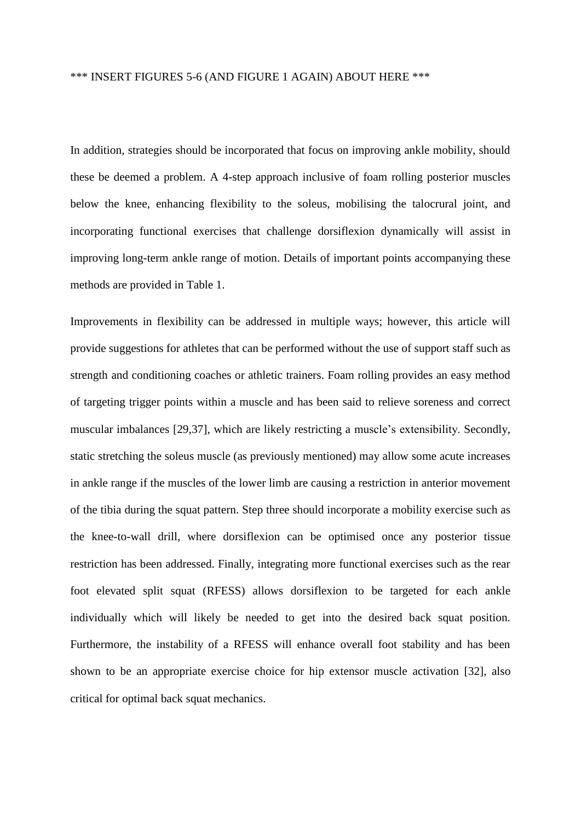# \*\*\* INSERT FIGURES 5-6 (AND FIGURE 1 AGAIN) ABOUT HERE \*\*\*

In addition, strategies should be incorporated that focus on improving ankle mobility, should these be deemed a problem. A 4-step approach inclusive of foam rolling posterior muscles below the knee, enhancing flexibility to the soleus, mobilising the talocrural joint, and incorporating functional exercises that challenge dorsiflexion dynamically will assist in improving long-term ankle range of motion. Details of important points accompanying these methods are provided in Table 1.

Improvements in flexibility can be addressed in multiple ways; however, this article will provide suggestions for athletes that can be performed without the use of support staff such as strength and conditioning coaches or athletic trainers. Foam rolling provides an easy method of targeting trigger points within a muscle and has been said to relieve soreness and correct muscular imbalances [29,37], which are likely restricting a muscle's extensibility. Secondly, static stretching the soleus muscle (as previously mentioned) may allow some acute increases in ankle range if the muscles of the lower limb are causing a restriction in anterior movement of the tibia during the squat pattern. Step three should incorporate a mobility exercise such as the knee-to-wall drill, where dorsiflexion can be optimised once any posterior tissue restriction has been addressed. Finally, integrating more functional exercises such as the rear foot elevated split squat (RFESS) allows dorsiflexion to be targeted for each ankle individually which will likely be needed to get into the desired back squat position. Furthermore, the instability of a RFESS will enhance overall foot stability and has been shown to be an appropriate exercise choice for hip extensor muscle activation [32], also critical for optimal back squat mechanics.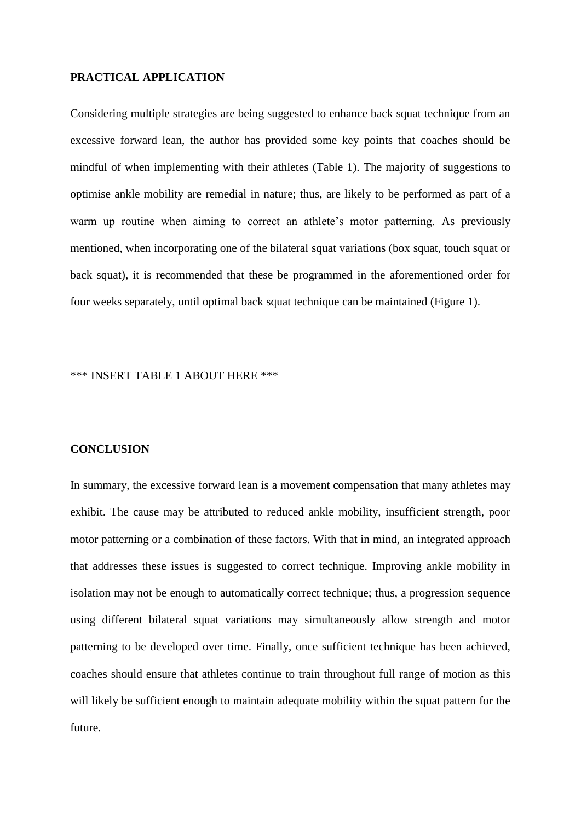### **PRACTICAL APPLICATION**

Considering multiple strategies are being suggested to enhance back squat technique from an excessive forward lean, the author has provided some key points that coaches should be mindful of when implementing with their athletes (Table 1). The majority of suggestions to optimise ankle mobility are remedial in nature; thus, are likely to be performed as part of a warm up routine when aiming to correct an athlete's motor patterning. As previously mentioned, when incorporating one of the bilateral squat variations (box squat, touch squat or back squat), it is recommended that these be programmed in the aforementioned order for four weeks separately, until optimal back squat technique can be maintained (Figure 1).

### \*\*\* INSERT TABLE 1 ABOUT HERE \*\*\*

#### **CONCLUSION**

In summary, the excessive forward lean is a movement compensation that many athletes may exhibit. The cause may be attributed to reduced ankle mobility, insufficient strength, poor motor patterning or a combination of these factors. With that in mind, an integrated approach that addresses these issues is suggested to correct technique. Improving ankle mobility in isolation may not be enough to automatically correct technique; thus, a progression sequence using different bilateral squat variations may simultaneously allow strength and motor patterning to be developed over time. Finally, once sufficient technique has been achieved, coaches should ensure that athletes continue to train throughout full range of motion as this will likely be sufficient enough to maintain adequate mobility within the squat pattern for the future.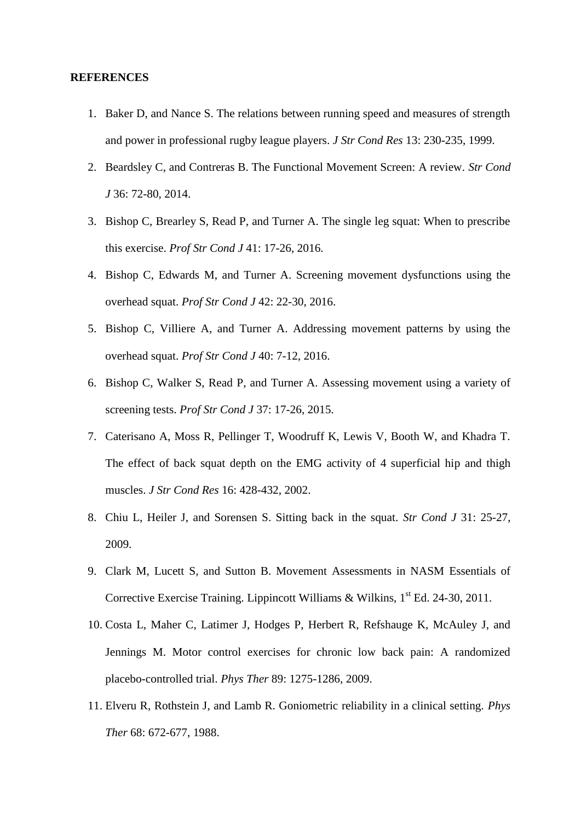#### **REFERENCES**

- 1. Baker D, and Nance S. The relations between running speed and measures of strength and power in professional rugby league players. *J Str Cond Res* 13: 230-235, 1999.
- 2. Beardsley C, and Contreras B. The Functional Movement Screen: A review. *Str Cond J* 36: 72-80, 2014.
- 3. Bishop C, Brearley S, Read P, and Turner A. The single leg squat: When to prescribe this exercise. *Prof Str Cond J* 41: 17-26, 2016.
- 4. Bishop C, Edwards M, and Turner A. Screening movement dysfunctions using the overhead squat. *Prof Str Cond J* 42: 22-30, 2016.
- 5. Bishop C, Villiere A, and Turner A. Addressing movement patterns by using the overhead squat. *Prof Str Cond J* 40: 7-12, 2016.
- 6. Bishop C, Walker S, Read P, and Turner A. Assessing movement using a variety of screening tests. *Prof Str Cond J* 37: 17-26, 2015.
- 7. Caterisano A, Moss R, Pellinger T, Woodruff K, Lewis V, Booth W, and Khadra T. The effect of back squat depth on the EMG activity of 4 superficial hip and thigh muscles. *J Str Cond Res* 16: 428-432, 2002.
- 8. Chiu L, Heiler J, and Sorensen S. Sitting back in the squat. *Str Cond J* 31: 25-27, 2009.
- 9. Clark M, Lucett S, and Sutton B. Movement Assessments in NASM Essentials of Corrective Exercise Training. Lippincott Williams & Wilkins,  $1<sup>st</sup>$  Ed. 24-30, 2011.
- 10. Costa L, Maher C, Latimer J, Hodges P, Herbert R, Refshauge K, McAuley J, and Jennings M. Motor control exercises for chronic low back pain: A randomized placebo-controlled trial. *Phys Ther* 89: 1275-1286, 2009.
- 11. Elveru R, Rothstein J, and Lamb R. Goniometric reliability in a clinical setting. *Phys Ther* 68: 672-677, 1988.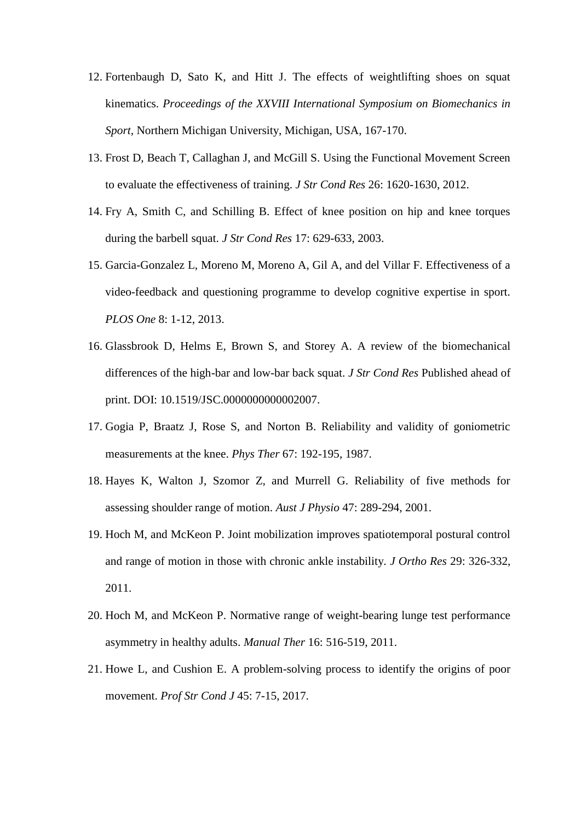- 12. Fortenbaugh D, Sato K, and Hitt J. The effects of weightlifting shoes on squat kinematics. *Proceedings of the XXVIII International Symposium on Biomechanics in Sport*, Northern Michigan University, Michigan, USA, 167-170.
- 13. Frost D, Beach T, Callaghan J, and McGill S. Using the Functional Movement Screen to evaluate the effectiveness of training. *J Str Cond Res* 26: 1620-1630, 2012.
- 14. Fry A, Smith C, and Schilling B. Effect of knee position on hip and knee torques during the barbell squat. *J Str Cond Res* 17: 629-633, 2003.
- 15. Garcia-Gonzalez L, Moreno M, Moreno A, Gil A, and del Villar F. Effectiveness of a video-feedback and questioning programme to develop cognitive expertise in sport. *PLOS One* 8: 1-12, 2013.
- 16. Glassbrook D, Helms E, Brown S, and Storey A. A review of the biomechanical differences of the high-bar and low-bar back squat. *J Str Cond Res* Published ahead of print. DOI: 10.1519/JSC.0000000000002007.
- 17. Gogia P, Braatz J, Rose S, and Norton B. Reliability and validity of goniometric measurements at the knee. *Phys Ther* 67: 192-195, 1987.
- 18. Hayes K, Walton J, Szomor Z, and Murrell G. Reliability of five methods for assessing shoulder range of motion. *Aust J Physio* 47: 289-294, 2001.
- 19. Hoch M, and McKeon P. Joint mobilization improves spatiotemporal postural control and range of motion in those with chronic ankle instability. *J Ortho Res* 29: 326-332, 2011.
- 20. Hoch M, and McKeon P. Normative range of weight-bearing lunge test performance asymmetry in healthy adults. *Manual Ther* 16: 516-519, 2011.
- 21. Howe L, and Cushion E. A problem-solving process to identify the origins of poor movement. *Prof Str Cond J* 45: 7-15, 2017.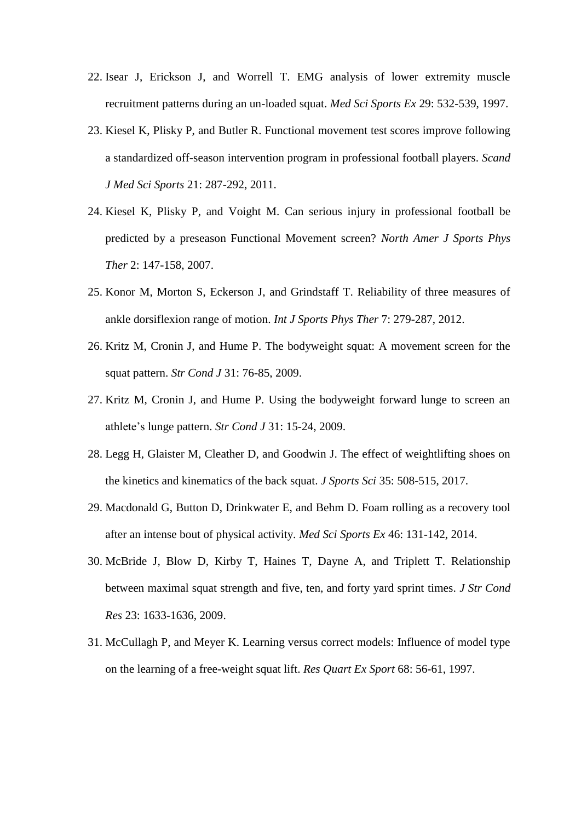- 22. Isear J, Erickson J, and Worrell T. EMG analysis of lower extremity muscle recruitment patterns during an un-loaded squat. *Med Sci Sports Ex* 29: 532-539, 1997.
- 23. Kiesel K, Plisky P, and Butler R. Functional movement test scores improve following a standardized off-season intervention program in professional football players. *Scand J Med Sci Sports* 21: 287-292, 2011.
- 24. Kiesel K, Plisky P, and Voight M. Can serious injury in professional football be predicted by a preseason Functional Movement screen? *North Amer J Sports Phys Ther* 2: 147-158, 2007.
- 25. Konor M, Morton S, Eckerson J, and Grindstaff T. Reliability of three measures of ankle dorsiflexion range of motion. *Int J Sports Phys Ther* 7: 279-287, 2012.
- 26. Kritz M, Cronin J, and Hume P. The bodyweight squat: A movement screen for the squat pattern. *Str Cond J* 31: 76-85, 2009.
- 27. Kritz M, Cronin J, and Hume P. Using the bodyweight forward lunge to screen an athlete's lunge pattern. *Str Cond J* 31: 15-24, 2009.
- 28. Legg H, Glaister M, Cleather D, and Goodwin J. The effect of weightlifting shoes on the kinetics and kinematics of the back squat. *J Sports Sci* 35: 508-515, 2017.
- 29. Macdonald G, Button D, Drinkwater E, and Behm D. Foam rolling as a recovery tool after an intense bout of physical activity. *Med Sci Sports Ex* 46: 131-142, 2014.
- 30. McBride J, Blow D, Kirby T, Haines T, Dayne A, and Triplett T. Relationship between maximal squat strength and five, ten, and forty yard sprint times. *J Str Cond Res* 23: 1633-1636, 2009.
- 31. McCullagh P, and Meyer K. Learning versus correct models: Influence of model type on the learning of a free-weight squat lift. *Res Quart Ex Sport* 68: 56-61, 1997.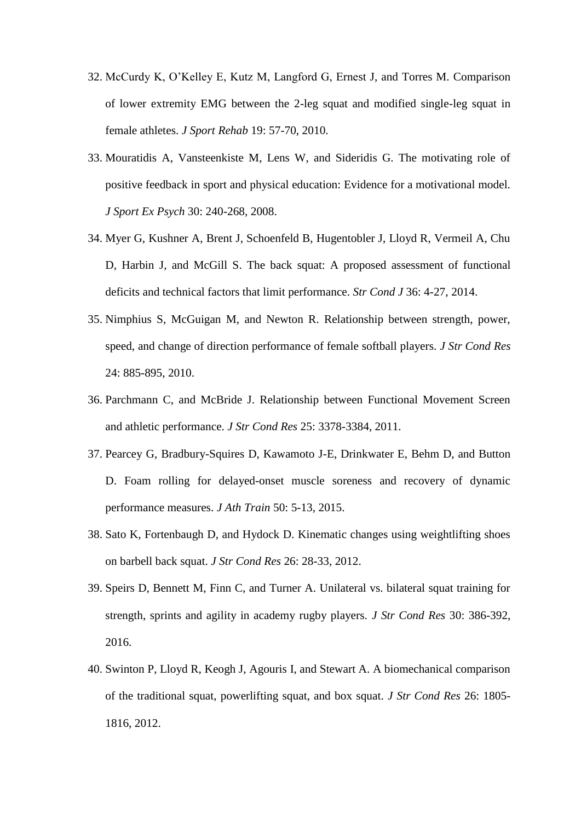- 32. McCurdy K, O'Kelley E, Kutz M, Langford G, Ernest J, and Torres M. Comparison of lower extremity EMG between the 2-leg squat and modified single-leg squat in female athletes. *J Sport Rehab* 19: 57-70, 2010.
- 33. Mouratidis A, Vansteenkiste M, Lens W, and Sideridis G. The motivating role of positive feedback in sport and physical education: Evidence for a motivational model. *J Sport Ex Psych* 30: 240-268, 2008.
- 34. Myer G, Kushner A, Brent J, Schoenfeld B, Hugentobler J, Lloyd R, Vermeil A, Chu D, Harbin J, and McGill S. The back squat: A proposed assessment of functional deficits and technical factors that limit performance. *Str Cond J* 36: 4-27, 2014.
- 35. Nimphius S, McGuigan M, and Newton R. Relationship between strength, power, speed, and change of direction performance of female softball players. *J Str Cond Res*  24: 885-895, 2010.
- 36. Parchmann C, and McBride J. Relationship between Functional Movement Screen and athletic performance. *J Str Cond Res* 25: 3378-3384, 2011.
- 37. Pearcey G, Bradbury-Squires D, Kawamoto J-E, Drinkwater E, Behm D, and Button D. Foam rolling for delayed-onset muscle soreness and recovery of dynamic performance measures. *J Ath Train* 50: 5-13, 2015.
- 38. Sato K, Fortenbaugh D, and Hydock D. Kinematic changes using weightlifting shoes on barbell back squat. *J Str Cond Res* 26: 28-33, 2012.
- 39. Speirs D, Bennett M, Finn C, and Turner A. Unilateral vs. bilateral squat training for strength, sprints and agility in academy rugby players. *J Str Cond Res* 30: 386-392, 2016.
- 40. Swinton P, Lloyd R, Keogh J, Agouris I, and Stewart A. A biomechanical comparison of the traditional squat, powerlifting squat, and box squat. *J Str Cond Res* 26: 1805- 1816, 2012.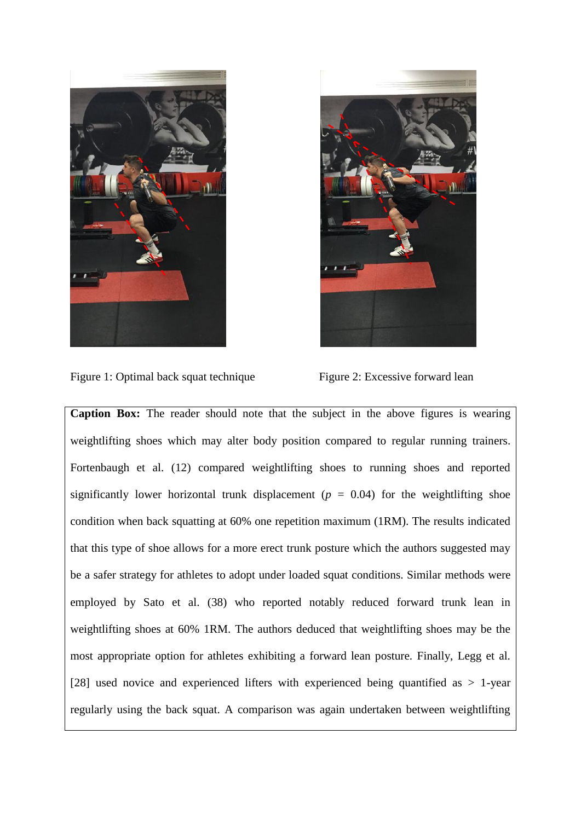



Figure 1: Optimal back squat technique Figure 2: Excessive forward lean

**Caption Box:** The reader should note that the subject in the above figures is wearing weightlifting shoes which may alter body position compared to regular running trainers. Fortenbaugh et al. (12) compared weightlifting shoes to running shoes and reported significantly lower horizontal trunk displacement ( $p = 0.04$ ) for the weightlifting shoe condition when back squatting at 60% one repetition maximum (1RM). The results indicated that this type of shoe allows for a more erect trunk posture which the authors suggested may be a safer strategy for athletes to adopt under loaded squat conditions. Similar methods were employed by Sato et al. (38) who reported notably reduced forward trunk lean in weightlifting shoes at 60% 1RM. The authors deduced that weightlifting shoes may be the most appropriate option for athletes exhibiting a forward lean posture. Finally, Legg et al. [28] used novice and experienced lifters with experienced being quantified as  $> 1$ -year regularly using the back squat. A comparison was again undertaken between weightlifting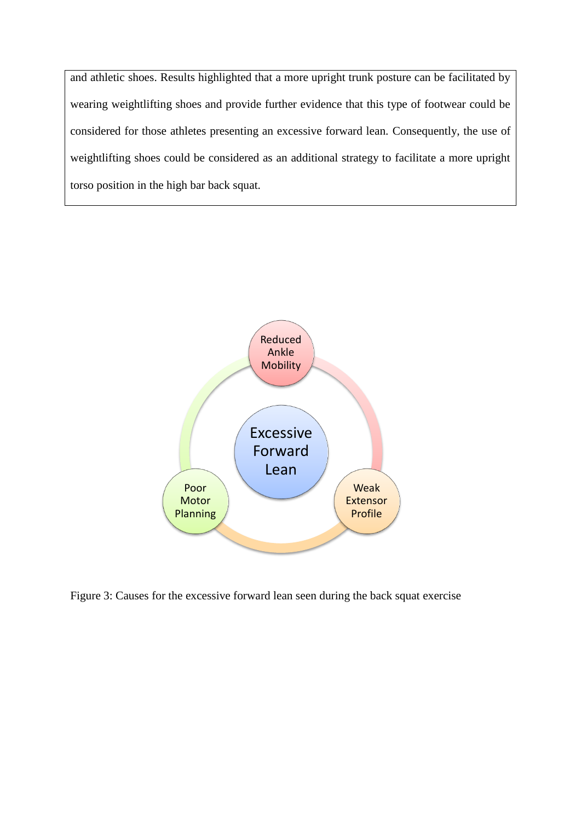and athletic shoes. Results highlighted that a more upright trunk posture can be facilitated by wearing weightlifting shoes and provide further evidence that this type of footwear could be considered for those athletes presenting an excessive forward lean. Consequently, the use of weightlifting shoes could be considered as an additional strategy to facilitate a more upright torso position in the high bar back squat.



Figure 3: Causes for the excessive forward lean seen during the back squat exercise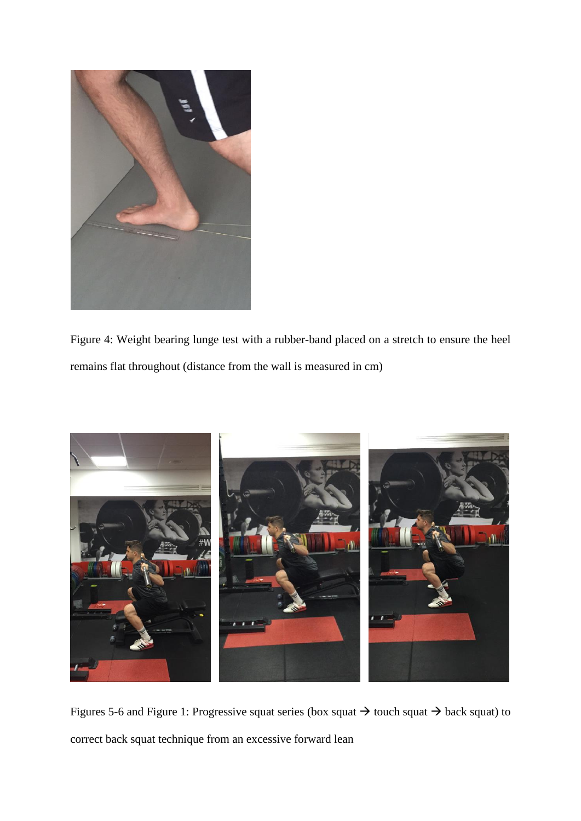

Figure 4: Weight bearing lunge test with a rubber-band placed on a stretch to ensure the heel remains flat throughout (distance from the wall is measured in cm)



Figures 5-6 and Figure 1: Progressive squat series (box squat  $\rightarrow$  touch squat  $\rightarrow$  back squat) to correct back squat technique from an excessive forward lean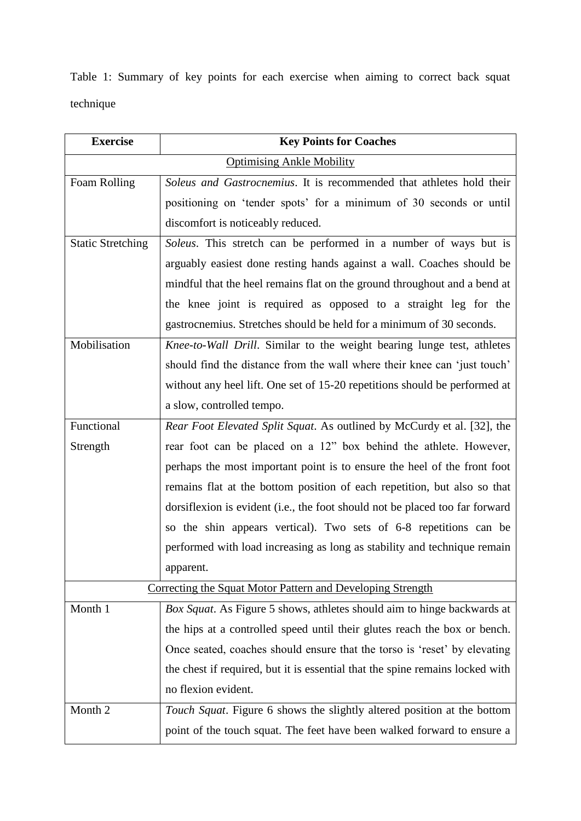Table 1: Summary of key points for each exercise when aiming to correct back squat technique

| <b>Exercise</b>                                            | <b>Key Points for Coaches</b>                                                 |
|------------------------------------------------------------|-------------------------------------------------------------------------------|
| <b>Optimising Ankle Mobility</b>                           |                                                                               |
| Foam Rolling                                               | Soleus and Gastrocnemius. It is recommended that athletes hold their          |
|                                                            | positioning on 'tender spots' for a minimum of 30 seconds or until            |
|                                                            | discomfort is noticeably reduced.                                             |
| <b>Static Stretching</b>                                   | Soleus. This stretch can be performed in a number of ways but is              |
|                                                            | arguably easiest done resting hands against a wall. Coaches should be         |
|                                                            | mindful that the heel remains flat on the ground throughout and a bend at     |
|                                                            | the knee joint is required as opposed to a straight leg for the               |
|                                                            | gastrocnemius. Stretches should be held for a minimum of 30 seconds.          |
| Mobilisation                                               | Knee-to-Wall Drill. Similar to the weight bearing lunge test, athletes        |
|                                                            | should find the distance from the wall where their knee can 'just touch'      |
|                                                            | without any heel lift. One set of 15-20 repetitions should be performed at    |
|                                                            | a slow, controlled tempo.                                                     |
| Functional                                                 | Rear Foot Elevated Split Squat. As outlined by McCurdy et al. [32], the       |
| Strength                                                   | rear foot can be placed on a 12" box behind the athlete. However,             |
|                                                            | perhaps the most important point is to ensure the heel of the front foot      |
|                                                            | remains flat at the bottom position of each repetition, but also so that      |
|                                                            | dorsiflexion is evident (i.e., the foot should not be placed too far forward  |
|                                                            | so the shin appears vertical). Two sets of 6-8 repetitions can be             |
|                                                            | performed with load increasing as long as stability and technique remain      |
|                                                            | apparent.                                                                     |
| Correcting the Squat Motor Pattern and Developing Strength |                                                                               |
| Month 1                                                    | Box Squat. As Figure 5 shows, athletes should aim to hinge backwards at       |
|                                                            | the hips at a controlled speed until their glutes reach the box or bench.     |
|                                                            | Once seated, coaches should ensure that the torso is 'reset' by elevating     |
|                                                            | the chest if required, but it is essential that the spine remains locked with |
|                                                            | no flexion evident.                                                           |
| Month 2                                                    | Touch Squat. Figure 6 shows the slightly altered position at the bottom       |
|                                                            | point of the touch squat. The feet have been walked forward to ensure a       |